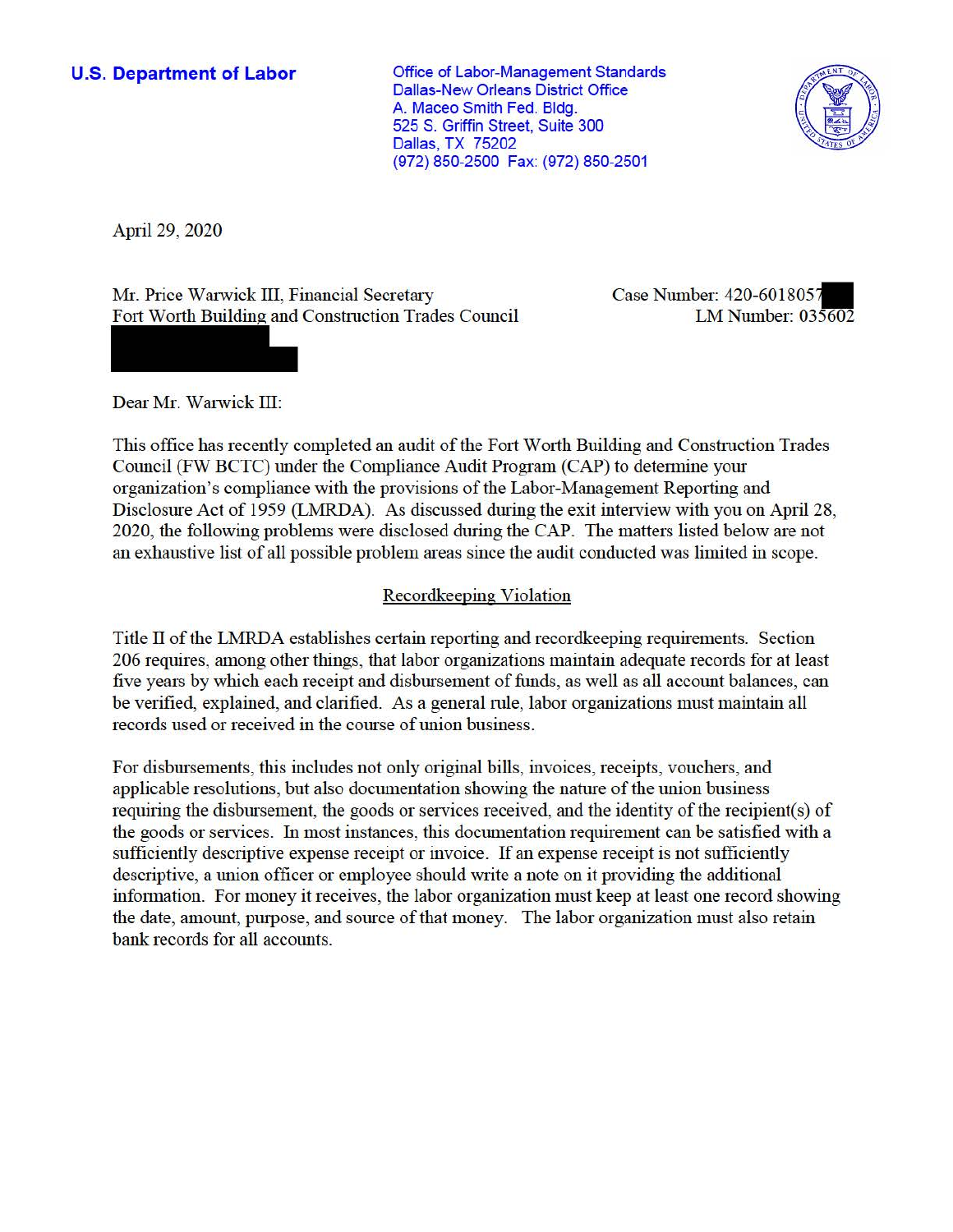**U.S. Department of Labor Conservative Conservative Conservative Conservative Conservative Conservative Conservative Conservative Conservative Conservative Conservative Conservative Conservative Conservative Conservative** Dallas-New Orleans District Office A. Maceo Smith Fed. Bldg. 525 S. Griffin Street, Suite 300 Dallas, TX 75202 (972) 850-2500 Fax: (972) 850-2501



April 29, 2020

Mr. Price Warwick III, Financial Secretary Case Number: 420-6018057 Fort Worth Building and Construction Trades Council LM Number: 035602

Dear Mr. Warwick III:

This office has recently completed an audit of the Fort Worth Building and Construction Trades Council (FW BCTC) under the Compliance Audit Program (CAP) to detennine your organization's compliance with the provisions of the Labor-Management Reporting and Disclosure Act of 1959 (LMRDA). As discussed during the exit interview with you on April 28, 2020, the following problems were disclosed during the CAP. The matters listed below are not an exhaustive list of all possible problem areas since the audit conducted was limited in scope.

# Recordkeeping Violation

Title II of the LMRDA establishes certain reporting and recordkeeping requirements. Section 206 requires, among other things, that labor organizations maintain adequate records for at least five years by which each receipt and disbursement of funds, as well as all account balances, can be verified, explained, and clarified. As a general rule, labor organizations must maintain all records used or received in the course of union business.

For disbursements, this includes not only original bills, invoices, receipts, vouchers, and applicable resolutions, but also documentation showing the nature of the union business requiring the disbursement, the goods or services received, and the identity of the recipient(s) of the goods or services. In most instances, this documentation requirement can be satisfied with a sufficiently descriptive expense receipt or invoice. If an expense receipt is not sufficiently descriptive, a union officer or employee should write a note on it providing the additional information. For money it receives, the labor organization must keep at least one record showing the date, amount, purpose, and source of that money. The labor organization must also retain bank records for all accounts.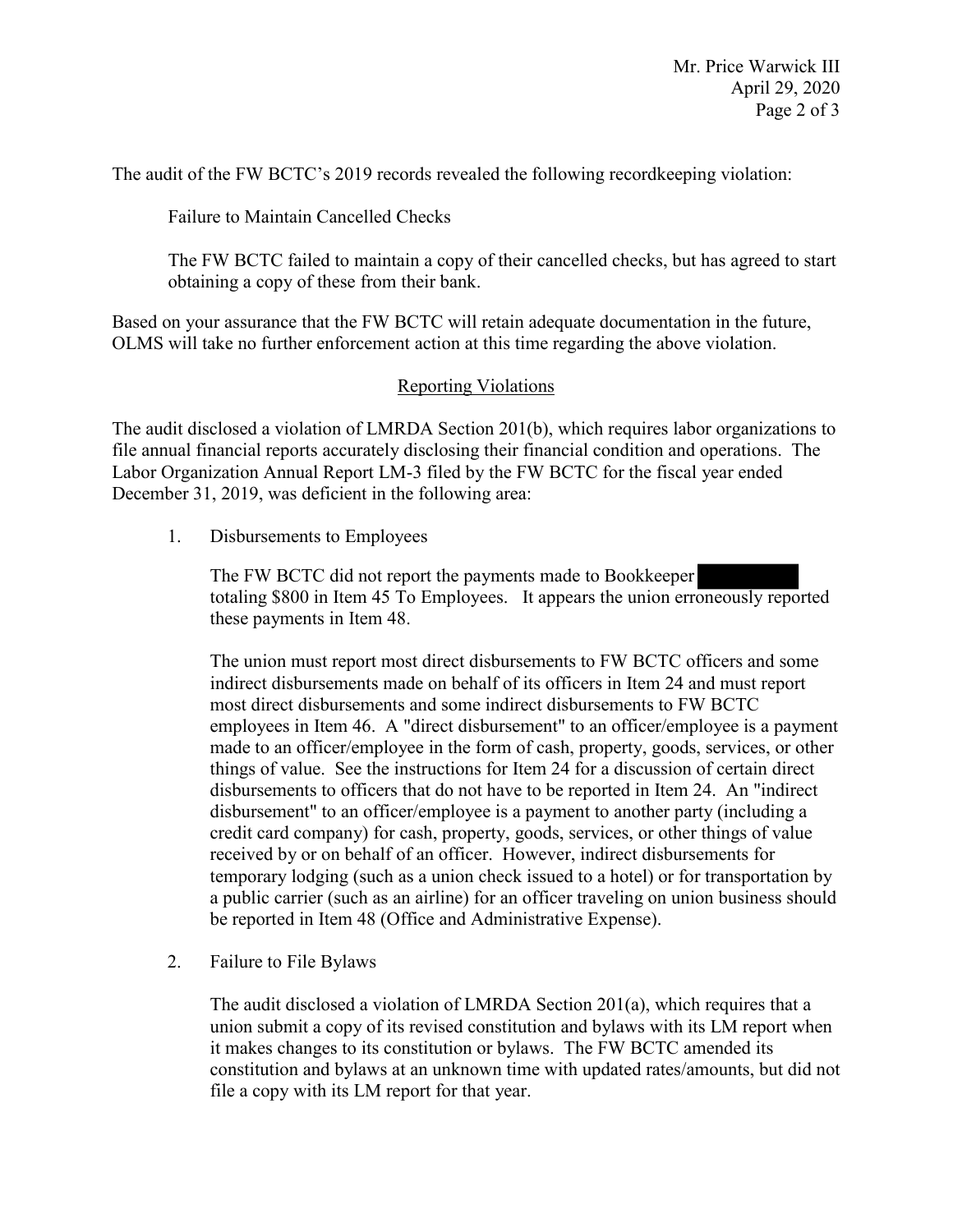The audit of the FW BCTC's 2019 records revealed the following recordkeeping violation:

Failure to Maintain Cancelled Checks

 The FW BCTC failed to maintain a copy of their cancelled checks, but has agreed to start obtaining a copy of these from their bank.

Based on your assurance that the FW BCTC will retain adequate documentation in the future, OLMS will take no further enforcement action at this time regarding the above violation.

# Reporting Violations

 Labor Organization Annual Report LM-3 filed by the FW BCTC for the fiscal year ended The audit disclosed a violation of LMRDA Section 201(b), which requires labor organizations to file annual financial reports accurately disclosing their financial condition and operations. The December 31, 2019, was deficient in the following area:

1. Disbursements to Employees

The FW BCTC did not report the payments made to Bookkeeper totaling \$800 in Item 45 To Employees. It appears the union erroneously reported these payments in Item 48.

 a public carrier (such as an airline) for an officer traveling on union business should The union must report most direct disbursements to FW BCTC officers and some indirect disbursements made on behalf of its officers in Item 24 and must report most direct disbursements and some indirect disbursements to FW BCTC employees in Item 46. A "direct disbursement" to an officer/employee is a payment made to an officer/employee in the form of cash, property, goods, services, or other things of value. See the instructions for Item 24 for a discussion of certain direct disbursements to officers that do not have to be reported in Item 24. An "indirect disbursement" to an officer/employee is a payment to another party (including a credit card company) for cash, property, goods, services, or other things of value received by or on behalf of an officer. However, indirect disbursements for temporary lodging (such as a union check issued to a hotel) or for transportation by be reported in Item 48 (Office and Administrative Expense).

2. Failure to File Bylaws

 The audit disclosed a violation of LMRDA Section 201(a), which requires that a union submit a copy of its revised constitution and bylaws with its LM report when it makes changes to its constitution or bylaws. The FW BCTC amended its file a copy with its LM report for that year. constitution and bylaws at an unknown time with updated rates/amounts, but did not